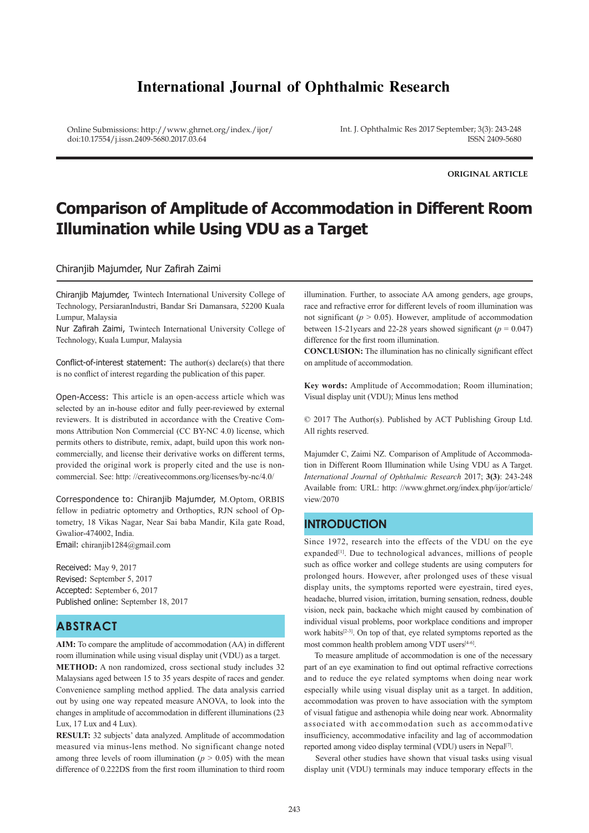# **International Journal of Ophthalmic Research**

Online Submissions: http://www.ghrnet.org/index./ijor/ doi:10.17554/j.issn.2409-5680.2017.03.64

Int. J. Ophthalmic Res 2017 September; 3(3): 243-248 ISSN 2409-5680

**ORIGINAL ARTICLE**

# **Comparison of Amplitude of Accommodation in Different Room Illumination while Using VDU as a Target**

Chiranjib Majumder, Nur Zafirah Zaimi

Chiranjib Majumder, Twintech International University College of Technology, PersiaranIndustri, Bandar Sri Damansara, 52200 Kuala Lumpur, Malaysia

Nur Zafirah Zaimi, Twintech International University College of Technology, Kuala Lumpur, Malaysia

Conflict-of-interest statement: The author(s) declare(s) that there is no conflict of interest regarding the publication of this paper.

Open-Access: This article is an open-access article which was selected by an in-house editor and fully peer-reviewed by external reviewers. It is distributed in accordance with the Creative Commons Attribution Non Commercial (CC BY-NC 4.0) license, which permits others to distribute, remix, adapt, build upon this work noncommercially, and license their derivative works on different terms, provided the original work is properly cited and the use is noncommercial. See: http: //creativecommons.org/licenses/by-nc/4.0/

Correspondence to: Chiranjib Majumder, M.Optom, ORBIS fellow in pediatric optometry and Orthoptics, RJN school of Optometry, 18 Vikas Nagar, Near Sai baba Mandir, Kila gate Road, Gwalior-474002, India. Email: chiranjib1284@gmail.com

Received: May 9, 2017 Revised: September 5, 2017 Accepted: September 6, 2017 Published online: September 18, 2017

# **ABSTRACT**

**AIM:** To compare the amplitude of accommodation (AA) in different room illumination while using visual display unit (VDU) as a target. **METHOD:** A non randomized, cross sectional study includes 32 Malaysians aged between 15 to 35 years despite of races and gender. Convenience sampling method applied. The data analysis carried out by using one way repeated measure ANOVA, to look into the changes in amplitude of accommodation in different illuminations (23 Lux, 17 Lux and 4 Lux).

**RESULT:** 32 subjects' data analyzed. Amplitude of accommodation measured via minus-lens method. No significant change noted among three levels of room illumination ( $p > 0.05$ ) with the mean difference of 0.222DS from the first room illumination to third room

illumination. Further, to associate AA among genders, age groups, race and refractive error for different levels of room illumination was not significant ( $p > 0.05$ ). However, amplitude of accommodation between 15-21years and 22-28 years showed significant ( $p = 0.047$ ) difference for the first room illumination.

**CONCLUSION:** The illumination has no clinically significant effect on amplitude of accommodation.

**Key words:** Amplitude of Accommodation; Room illumination; Visual display unit (VDU); Minus lens method

© 2017 The Author(s). Published by ACT Publishing Group Ltd. All rights reserved.

Majumder C, Zaimi NZ. Comparison of Amplitude of Accommodation in Different Room Illumination while Using VDU as A Target. *International Journal of Ophthalmic Research* 2017; **3(3)**: 243-248 Available from: URL: http: //www.ghrnet.org/index.php/ijor/article/ view/2070

## **INTRODUCTION**

Since 1972, research into the effects of the VDU on the eye expanded<sup>[1]</sup>. Due to technological advances, millions of people such as office worker and college students are using computers for prolonged hours. However, after prolonged uses of these visual display units, the symptoms reported were eyestrain, tired eyes, headache, blurred vision, irritation, burning sensation, redness, double vision, neck pain, backache which might caused by combination of individual visual problems, poor workplace conditions and improper work habits[2-3]. On top of that, eye related symptoms reported as the most common health problem among VDT users[4-6].

 To measure amplitude of accommodation is one of the necessary part of an eye examination to find out optimal refractive corrections and to reduce the eye related symptoms when doing near work especially while using visual display unit as a target. In addition, accommodation was proven to have association with the symptom of visual fatigue and asthenopia while doing near work. Abnormality associated with accommodation such as accommodative insufficiency, accommodative infacility and lag of accommodation reported among video display terminal (VDU) users in Nepal<sup>[7]</sup>.

 Several other studies have shown that visual tasks using visual display unit (VDU) terminals may induce temporary effects in the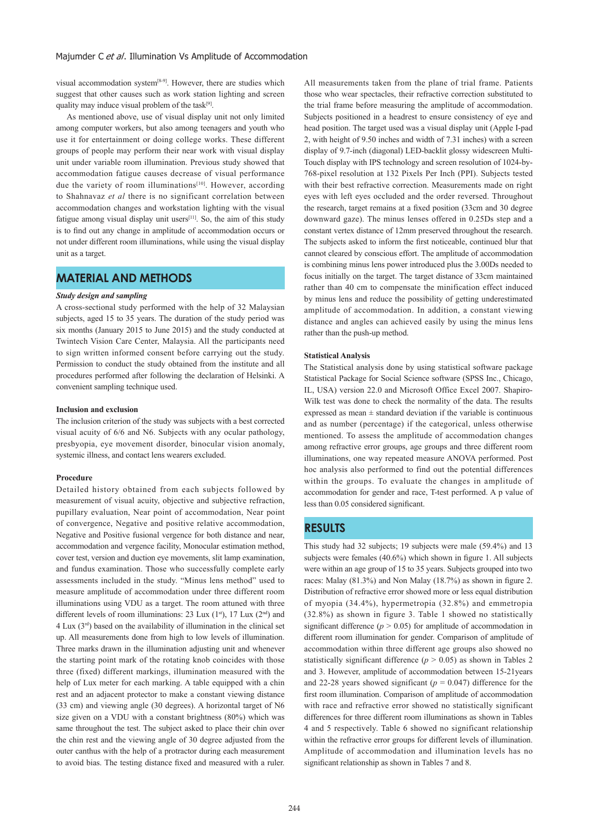visual accommodation system[8-9]. However, there are studies which suggest that other causes such as work station lighting and screen quality may induce visual problem of the task $[9]$ .

 As mentioned above, use of visual display unit not only limited among computer workers, but also among teenagers and youth who use it for entertainment or doing college works. These different groups of people may perform their near work with visual display unit under variable room illumination. Previous study showed that accommodation fatigue causes decrease of visual performance due the variety of room illuminations<sup>[10]</sup>. However, according to Shahnavaz *et al* there is no significant correlation between accommodation changes and workstation lighting with the visual fatigue among visual display unit users $[11]$ . So, the aim of this study is to find out any change in amplitude of accommodation occurs or not under different room illuminations, while using the visual display unit as a target.

# **MATERIAL AND METHODS**

#### *Study design and sampling*

A cross-sectional study performed with the help of 32 Malaysian subjects, aged 15 to 35 years. The duration of the study period was six months (January 2015 to June 2015) and the study conducted at Twintech Vision Care Center, Malaysia. All the participants need to sign written informed consent before carrying out the study. Permission to conduct the study obtained from the institute and all procedures performed after following the declaration of Helsinki. A convenient sampling technique used.

### **Inclusion and exclusion**

The inclusion criterion of the study was subjects with a best corrected visual acuity of 6/6 and N6. Subjects with any ocular pathology, presbyopia, eye movement disorder, binocular vision anomaly, systemic illness, and contact lens wearers excluded.

#### **Procedure**

Detailed history obtained from each subjects followed by measurement of visual acuity, objective and subjective refraction, pupillary evaluation, Near point of accommodation, Near point of convergence, Negative and positive relative accommodation, Negative and Positive fusional vergence for both distance and near, accommodation and vergence facility, Monocular estimation method, cover test, version and duction eye movements, slit lamp examination, and fundus examination. Those who successfully complete early assessments included in the study. "Minus lens method" used to measure amplitude of accommodation under three different room illuminations using VDU as a target. The room attuned with three different levels of room illuminations: 23 Lux  $(1<sup>st</sup>)$ , 17 Lux  $(2<sup>nd</sup>)$  and 4 Lux (3rd) based on the availability of illumination in the clinical set up. All measurements done from high to low levels of illumination. Three marks drawn in the illumination adjusting unit and whenever the starting point mark of the rotating knob coincides with those three (fixed) different markings, illumination measured with the help of Lux meter for each marking. A table equipped with a chin rest and an adjacent protector to make a constant viewing distance (33 cm) and viewing angle (30 degrees). A horizontal target of N6 size given on a VDU with a constant brightness (80%) which was same throughout the test. The subject asked to place their chin over the chin rest and the viewing angle of 30 degree adjusted from the outer canthus with the help of a protractor during each measurement to avoid bias. The testing distance fixed and measured with a ruler.

All measurements taken from the plane of trial frame. Patients those who wear spectacles, their refractive correction substituted to the trial frame before measuring the amplitude of accommodation. Subjects positioned in a headrest to ensure consistency of eye and head position. The target used was a visual display unit (Apple I-pad 2, with height of 9.50 inches and width of 7.31 inches) with a screen display of 9.7-inch (diagonal) LED-backlit glossy widescreen Multi-Touch display with IPS technology and screen resolution of 1024-by-768-pixel resolution at 132 Pixels Per Inch (PPI). Subjects tested with their best refractive correction. Measurements made on right eyes with left eyes occluded and the order reversed. Throughout the research, target remains at a fixed position (33cm and 30 degree downward gaze). The minus lenses offered in 0.25Ds step and a constant vertex distance of 12mm preserved throughout the research. The subjects asked to inform the first noticeable, continued blur that cannot cleared by conscious effort. The amplitude of accommodation is combining minus lens power introduced plus the 3.00Ds needed to focus initially on the target. The target distance of 33cm maintained rather than 40 cm to compensate the minification effect induced by minus lens and reduce the possibility of getting underestimated amplitude of accommodation. In addition, a constant viewing distance and angles can achieved easily by using the minus lens rather than the push-up method.

#### **Statistical Analysis**

The Statistical analysis done by using statistical software package Statistical Package for Social Science software (SPSS Inc., Chicago, IL, USA) version 22.0 and Microsoft Office Excel 2007. Shapiro-Wilk test was done to check the normality of the data. The results expressed as mean  $\pm$  standard deviation if the variable is continuous and as number (percentage) if the categorical, unless otherwise mentioned. To assess the amplitude of accommodation changes among refractive error groups, age groups and three different room illuminations, one way repeated measure ANOVA performed. Post hoc analysis also performed to find out the potential differences within the groups. To evaluate the changes in amplitude of accommodation for gender and race, T-test performed. A p value of less than 0.05 considered significant.

### **RESULTS**

This study had 32 subjects; 19 subjects were male (59.4%) and 13 subjects were females (40.6%) which shown in figure 1. All subjects were within an age group of 15 to 35 years. Subjects grouped into two races: Malay (81.3%) and Non Malay (18.7%) as shown in figure 2. Distribution of refractive error showed more or less equal distribution of myopia (34.4%), hypermetropia (32.8%) and emmetropia (32.8%) as shown in figure 3. Table 1 showed no statistically significant difference  $(p > 0.05)$  for amplitude of accommodation in different room illumination for gender. Comparison of amplitude of accommodation within three different age groups also showed no statistically significant difference  $(p > 0.05)$  as shown in Tables 2 and 3. However, amplitude of accommodation between 15-21years and 22-28 years showed significant ( $p = 0.047$ ) difference for the first room illumination. Comparison of amplitude of accommodation with race and refractive error showed no statistically significant differences for three different room illuminations as shown in Tables 4 and 5 respectively. Table 6 showed no significant relationship within the refractive error groups for different levels of illumination. Amplitude of accommodation and illumination levels has no significant relationship as shown in Tables 7 and 8.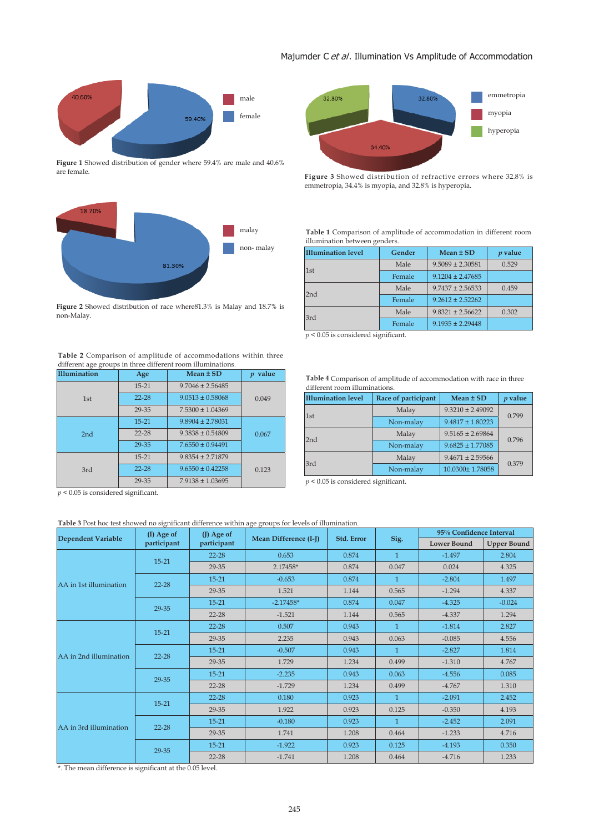



Figure 1 Showed distribution of gender where 59.4% are male and 40.6% are female.



**Figure 2** Showed distribution of race where81.3% is Malay and 18.7% is non-Malay.

#### **Table 2** Comparison of amplitude of accommodations within three different age groups in three different room illuminations.

| <b>Illumination</b> | Age                               | Mean $\pm$ SD        | $p$ value |  |
|---------------------|-----------------------------------|----------------------|-----------|--|
| 1st                 | $15 - 21$                         | $9.7046 \pm 2.56485$ |           |  |
|                     | $22 - 28$<br>$9.0513 \pm 0.58068$ |                      | 0.049     |  |
|                     | 29-35                             | $7.5300 \pm 1.04369$ |           |  |
| 2nd                 | $15 - 21$                         | $9.8904 \pm 2.78031$ | 0.067     |  |
|                     | $22 - 28$                         | $9.3838 \pm 0.54809$ |           |  |
|                     | 29-35                             | $7.6550 \pm 0.94491$ |           |  |
| 3rd                 | $15 - 21$                         | $9.8354 \pm 2.71879$ |           |  |
|                     | $22 - 28$                         | $9.6550 \pm 0.42258$ | 0.123     |  |
|                     | 29-35                             | $7.9138 \pm 1.03695$ |           |  |

*p* < 0.05 is considered significant.

### **Table 3** Post hoc test showed no significant difference within age groups for levels of illumination.

|                        | $(I)$ Age of<br>participant | $(J)$ Age of |                       |            |              | 95% Confidence Interval |                    |
|------------------------|-----------------------------|--------------|-----------------------|------------|--------------|-------------------------|--------------------|
| Dependent Variable     |                             | participant  | Mean Difference (I-J) | Std. Error | Sig.         | <b>Lower Bound</b>      | <b>Upper Bound</b> |
|                        | $15 - 21$                   | $22 - 28$    | 0.653                 | 0.874      | $\mathbf{1}$ | $-1.497$                | 2.804              |
|                        |                             | 29-35        | 2.17458*              | 0.874      | 0.047        | 0.024                   | 4.325              |
| AA in 1st illumination | $22 - 28$                   | $15 - 21$    | $-0.653$              | 0.874      | 1            | $-2.804$                | 1.497              |
|                        |                             | 29-35        | 1.521                 | 1.144      | 0.565        | $-1.294$                | 4.337              |
|                        | 29-35                       | $15 - 21$    | $-2.17458*$           | 0.874      | 0.047        | $-4.325$                | $-0.024$           |
|                        |                             | $22 - 28$    | $-1.521$              | 1.144      | 0.565        | $-4.337$                | 1.294              |
|                        | $15 - 21$                   | $22 - 28$    | 0.507                 | 0.943      |              | $-1.814$                | 2.827              |
|                        |                             | 29-35        | 2.235                 | 0.943      | 0.063        | $-0.085$                | 4.556              |
| AA in 2nd illumination | $22 - 28$                   | $15 - 21$    | $-0.507$              | 0.943      | 1            | $-2.827$                | 1.814              |
|                        |                             | 29-35        | 1.729                 | 1.234      | 0.499        | $-1.310$                | 4.767              |
|                        | 29-35                       | $15 - 21$    | $-2.235$              | 0.943      | 0.063        | $-4.556$                | 0.085              |
|                        |                             | $22 - 28$    | $-1.729$              | 1.234      | 0.499        | $-4.767$                | 1.310              |
|                        | $15 - 21$                   | $22 - 28$    | 0.180                 | 0.923      | 1            | $-2.091$                | 2.452              |
|                        |                             | 29-35        | 1.922                 | 0.923      | 0.125        | $-0.350$                | 4.193              |
| AA in 3rd illumination | $22 - 28$                   | $15 - 21$    | $-0.180$              | 0.923      | $\mathbf{1}$ | $-2.452$                | 2.091              |
|                        |                             | 29-35        | 1.741                 | 1.208      | 0.464        | $-1.233$                | 4.716              |
|                        |                             | $15 - 21$    | $-1.922$              | 0.923      | 0.125        | $-4.193$                | 0.350              |
|                        | 29-35                       | $22 - 28$    | $-1.741$              | 1.208      | 0.464        | $-4.716$                | 1.233              |

\*. The mean difference is significant at the 0.05 level.



**Figure 3** Showed distribution of refractive errors where 32.8% is emmetropia, 34.4% is myopia, and 32.8% is hyperopia.

**Table 1** Comparison of amplitude of accommodation in different room illumination between genders.

| <b>Illumination level</b> | Gender | Mean ± SD            | $p$ value |
|---------------------------|--------|----------------------|-----------|
| 1st                       | Male   | $9.5089 \pm 2.30581$ | 0.529     |
|                           | Female | $9.1204 \pm 2.47685$ |           |
| 2nd                       | Male   | $9.7437 \pm 2.56533$ | 0.459     |
|                           | Female | $9.2612 \pm 2.52262$ |           |
| 3rd                       | Male   | $9.8321 \pm 2.56622$ | 0.302     |
|                           | Female | $9.1935 \pm 2.29448$ |           |

 $p < 0.05$  is considered significant.

**Table 4** Comparison of amplitude of accommodation with race in three different room illuminations.

| <b>Illumination level</b> | Race of participant | Mean ± SD            | $p$ value |  |
|---------------------------|---------------------|----------------------|-----------|--|
| 1st                       | Malay               | $9.3210 \pm 2.49092$ | 0.799     |  |
|                           | Non-malay           | $9.4817 \pm 1.80223$ |           |  |
| 2nd                       | Malay               | $9.5165 \pm 2.69864$ | 0.796     |  |
|                           | Non-malay           | $9.6825 \pm 1.77085$ |           |  |
| 3rd                       | Malay               | $9.4671 \pm 2.59566$ | 0.379     |  |
|                           | Non-malay           | 10.0300±1.78058      |           |  |

 $p < 0.05$  is considered significant.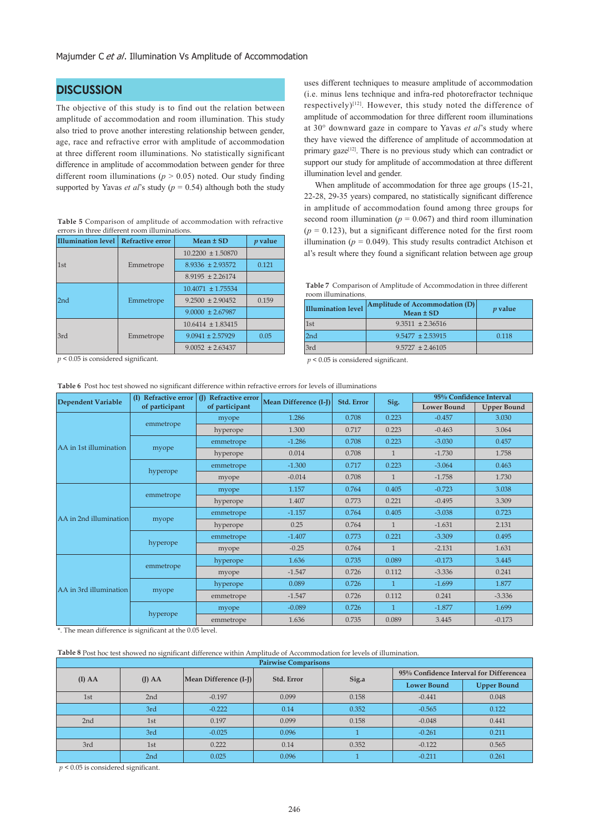# **DISCUSSION**

The objective of this study is to find out the relation between amplitude of accommodation and room illumination. This study also tried to prove another interesting relationship between gender, age, race and refractive error with amplitude of accommodation at three different room illuminations. No statistically significant difference in amplitude of accommodation between gender for three different room illuminations (*p* > 0.05) noted. Our study finding supported by Yavas *et al*'s study ( $p = 0.54$ ) although both the study

|  |                                               | Table 5 Comparison of amplitude of accommodation with refractive |  |
|--|-----------------------------------------------|------------------------------------------------------------------|--|
|  | errors in three different room illuminations. |                                                                  |  |

| Illumination level   Refractive error |           | Mean ± SD             | $p$ value |
|---------------------------------------|-----------|-----------------------|-----------|
|                                       |           | $10.2200 \pm 1.50870$ |           |
| 1st                                   | Emmetrope | $8.9336 \pm 2.93572$  | 0.121     |
|                                       |           | $8.9195 \pm 2.26174$  |           |
|                                       |           | $10.4071 \pm 1.75534$ |           |
| 2 <sub>nd</sub>                       | Emmetrope | $9.2500 \pm 2.90452$  | 0.159     |
|                                       |           | $9.0000 \pm 2.67987$  |           |
|                                       |           | $10.6414 \pm 1.83415$ |           |
| 3rd                                   | Emmetrope | $9.0941 \pm 2.57929$  | 0.05      |
|                                       |           | $9.0052 \pm 2.63437$  |           |

**Table 6** Post hoc test showed no significant difference within refractive errors for levels of illuminations

*p* < 0.05 is considered significant.

uses different techniques to measure amplitude of accommodation (i.e. minus lens technique and infra-red photorefractor technique respectively)[12]. However, this study noted the difference of amplitude of accommodation for three different room illuminations at 30° downward gaze in compare to Yavas *et al*'s study where they have viewed the difference of amplitude of accommodation at primary gaze<sup>[12]</sup>. There is no previous study which can contradict or support our study for amplitude of accommodation at three different illumination level and gender.

 When amplitude of accommodation for three age groups (15-21, 22-28, 29-35 years) compared, no statistically significant difference in amplitude of accommodation found among three groups for second room illumination ( $p = 0.067$ ) and third room illumination  $(p = 0.123)$ , but a significant difference noted for the first room illumination ( $p = 0.049$ ). This study results contradict Atchison et al's result where they found a significant relation between age group

**Table 7** Comparison of Amplitude of Accommodation in three different room illuminations.

| <b>Illumination level</b> | Amplitude of Accommodation (D)<br>$Mean \pm SD$ | $p$ value |
|---------------------------|-------------------------------------------------|-----------|
| $\vert$ 1st               | $9.3511 \pm 2.36516$                            |           |
| 2nd                       | $9.5477 \pm 2.53915$                            | 0.118     |
| 3rd                       | $9.5727 \pm 2.46105$                            |           |

*p* < 0.05 is considered significant.

| <b>Dependent Variable</b> | <b>Refractive error</b><br>(I) | (J) Refractive error | Mean Difference (I-J) | Std. Error | Sig.           | 95% Confidence Interval |                    |
|---------------------------|--------------------------------|----------------------|-----------------------|------------|----------------|-------------------------|--------------------|
|                           | of participant                 | of participant       |                       |            |                | <b>Lower Bound</b>      | <b>Upper Bound</b> |
|                           | emmetrope                      | myope                | 1.286                 | 0.708      | 0.223          | $-0.457$                | 3.030              |
|                           |                                | hyperope             | 1.300                 | 0.717      | 0.223          | $-0.463$                | 3.064              |
| AA in 1st illumination    |                                | emmetrope            | $-1.286$              | 0.708      | 0.223          | $-3.030$                | 0.457              |
|                           | myope                          | hyperope             | 0.014                 | 0.708      | $\mathbf{1}$   | $-1.730$                | 1.758              |
|                           | hyperope                       | emmetrope            | $-1.300$              | 0.717      | 0.223          | $-3.064$                | 0.463              |
|                           |                                | myope                | $-0.014$              | 0.708      | $\mathbf{1}$   | $-1.758$                | 1.730              |
|                           | emmetrope                      | myope                | 1.157                 | 0.764      | 0.405          | $-0.723$                | 3.038              |
|                           |                                | hyperope             | 1.407                 | 0.773      | 0.221          | $-0.495$                | 3.309              |
| AA in 2nd illumination    | myope                          | emmetrope            | $-1.157$              | 0.764      | 0.405          | $-3.038$                | 0.723              |
|                           |                                | hyperope             | 0.25                  | 0.764      | $\mathbf{1}$   | $-1.631$                | 2.131              |
|                           | hyperope                       | emmetrope            | $-1.407$              | 0.773      | 0.221          | $-3.309$                | 0.495              |
|                           |                                | myope                | $-0.25$               | 0.764      | $\mathbf{1}$   | $-2.131$                | 1.631              |
|                           | emmetrope                      | hyperope             | 1.636                 | 0.735      | 0.089          | $-0.173$                | 3.445              |
|                           |                                | myope                | $-1.547$              | 0.726      | 0.112          | $-3.336$                | 0.241              |
| AA in 3rd illumination    |                                | hyperope             | 0.089                 | 0.726      | $\overline{1}$ | $-1.699$                | 1.877              |
|                           | myope                          | emmetrope            | $-1.547$              | 0.726      | 0.112          | 0.241                   | $-3.336$           |
|                           |                                | myope                | $-0.089$              | 0.726      | 1              | $-1.877$                | 1.699              |
|                           | hyperope                       | emmetrope            | 1.636                 | 0.735      | 0.089          | 3.445                   | $-0.173$           |

\*. The mean difference is significant at the 0.05 level.

#### **Table 8** Post hoc test showed no significant difference within Amplitude of Accommodation for levels of illumination.

| <b>Pairwise Comparisons</b> |                                                  |          |       |                    |                                         |       |
|-----------------------------|--------------------------------------------------|----------|-------|--------------------|-----------------------------------------|-------|
|                             |                                                  |          |       |                    | 95% Confidence Interval for Differencea |       |
| $(I)$ AA                    | Mean Difference (I-J) <br>Std. Error<br>$(I)$ AA |          | Sig.a | <b>Lower Bound</b> | <b>Upper Bound</b>                      |       |
| 1st                         | 2nd                                              | $-0.197$ | 0.099 | 0.158              | $-0.441$                                | 0.048 |
|                             | 3rd                                              | $-0.222$ | 0.14  | 0.352              | $-0.565$                                | 0.122 |
| 2 <sub>nd</sub>             | 1st                                              | 0.197    | 0.099 | 0.158              | $-0.048$                                | 0.441 |
|                             | 3rd                                              | $-0.025$ | 0.096 |                    | $-0.261$                                | 0.211 |
| 3rd                         | 1st                                              | 0.222    | 0.14  | 0.352              | $-0.122$                                | 0.565 |
|                             | 2 <sub>nd</sub>                                  | 0.025    | 0.096 |                    | $-0.211$                                | 0.261 |

*p* < 0.05 is considered significant.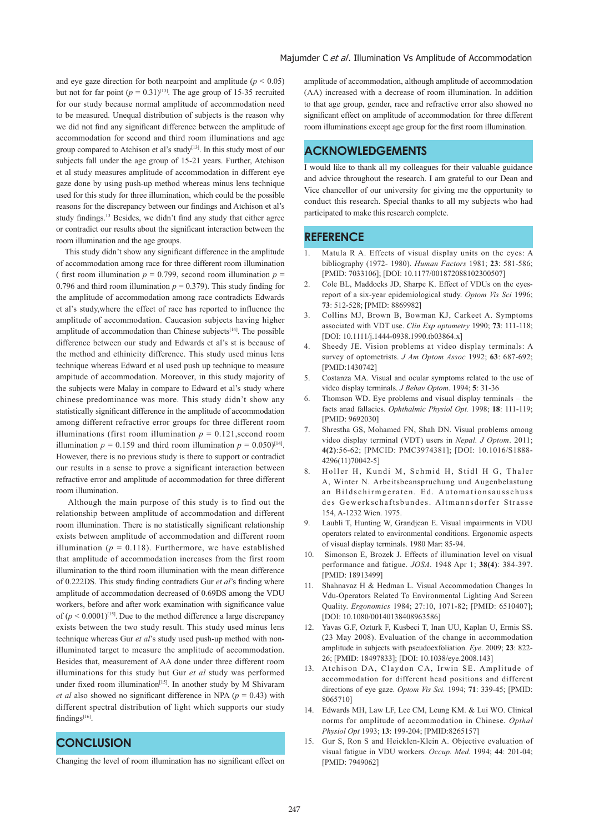and eye gaze direction for both nearpoint and amplitude  $(p < 0.05)$ but not for far point  $(p = 0.31)^{[13]}$ . The age group of 15-35 recruited for our study because normal amplitude of accommodation need to be measured. Unequal distribution of subjects is the reason why we did not find any significant difference between the amplitude of accommodation for second and third room illuminations and age group compared to Atchison et al's study<sup>[13]</sup>. In this study most of our subjects fall under the age group of 15-21 years. Further, Atchison et al study measures amplitude of accommodation in different eye gaze done by using push-up method whereas minus lens technique used for this study for three illumination, which could be the possible reasons for the discrepancy between our findings and Atchison et al's study findings.<sup>13</sup> Besides, we didn't find any study that either agree or contradict our results about the significant interaction between the room illumination and the age groups.

 This study didn't show any significant difference in the amplitude of accommodation among race for three different room illumination ( first room illumination  $p = 0.799$ , second room illumination  $p =$ 0.796 and third room illumination  $p = 0.379$ ). This study finding for the amplitude of accommodation among race contradicts Edwards et al's study,where the effect of race has reported to influence the amplitude of accommodation. Caucasion subjects having higher amplitude of accommodation than Chinese subjects<sup>[14]</sup>. The possible difference between our study and Edwards et al's st is because of the method and ethinicity difference. This study used minus lens technique whereas Edward et al used push up technique to measure ampitude of accommodation. Moreover, in this study majority of the subjects were Malay in compare to Edward et al's study where chinese predominance was more. This study didn't show any statistically significant difference in the amplitude of accommodation among different refractive error groups for three different room illuminations (first room illumination  $p = 0.121$ , second room illumination  $p = 0.159$  and third room illumination  $p = 0.050$ <sup>[14]</sup>. However, there is no previous study is there to support or contradict our results in a sense to prove a significant interaction between refractive error and amplitude of accommodation for three different room illumination.

 Although the main purpose of this study is to find out the relationship between amplitude of accommodation and different room illumination. There is no statistically significant relationship exists between amplitude of accommodation and different room illumination ( $p = 0.118$ ). Furthermore, we have established that amplitude of accommodation increases from the first room illumination to the third room illumination with the mean difference of 0.222DS. This study finding contradicts Gur *et al*'s finding where amplitude of accommodation decreased of 0.69DS among the VDU workers, before and after work examination with significance value of  $(p < 0.0001)^{[15]}$ . Due to the method difference a large discrepancy exists between the two study result. This study used minus lens technique whereas Gur *et al*'s study used push-up method with nonilluminated target to measure the amplitude of accommodation. Besides that, measurement of AA done under three different room illuminations for this study but Gur *et al* study was performed under fixed room illumination<sup>[15]</sup>. In another study by M Shivaram *et al* also showed no significant difference in NPA (*p* = 0.43) with different spectral distribution of light which supports our study findings<sup>[16]</sup>.

# **CONCLUSION**

amplitude of accommodation, although amplitude of accommodation (AA) increased with a decrease of room illumination. In addition to that age group, gender, race and refractive error also showed no significant effect on amplitude of accommodation for three different room illuminations except age group for the first room illumination.

# **ACKNOWLEDGEMENTS**

I would like to thank all my colleagues for their valuable guidance and advice throughout the research. I am grateful to our Dean and Vice chancellor of our university for giving me the opportunity to conduct this research. Special thanks to all my subjects who had participated to make this research complete.

### **REFERENCE**

- 1. Matula R A. Effects of visual display units on the eyes: A bibliography (1972- 1980). *Human Factors* 1981; **23**: 581-586; [PMID: 7033106]; [DOI: 10.1177/001872088102300507]
- 2. Cole BL, Maddocks JD, Sharpe K. Effect of VDUs on the eyesreport of a six-year epidemiological study. *Optom Vis Sci* 1996; **73**: 512-528; [PMID: 8869982]
- 3. Collins MJ, Brown B, Bowman KJ, Carkeet A. Symptoms associated with VDT use. *Clin Exp optometry* 1990; **73**: 111-118; [DOI: 10.1111/j.1444-0938.1990.tb03864.x]
- 4. Sheedy JE. Vision problems at video display terminals: A survey of optometrists. *J Am Optom Assoc* 1992; **63**: 687-692; [PMID:1430742]
- 5. Costanza MA. Visual and ocular symptoms related to the use of video display terminals. *J Behav Optom*. 1994; **5**: 31-36
- 6. Thomson WD. Eye problems and visual display terminals the facts anad fallacies. *Ophthalmic Physiol Opt.* 1998; **18**: 111-119; [PMID: 9692030]
- 7. Shrestha GS, Mohamed FN, Shah DN. Visual problems among video display terminal (VDT) users in *Nepal. J Optom*. 2011; **4(2)**:56-62; [PMCID: PMC3974381]; [DOI: 10.1016/S1888- 4296(11)70042-5]
- 8. Holler H, Kundi M, Schmid H, Stidl H G, Thaler A, Winter N. Arbeitsbeanspruchung und Augenbelastung an Bildschirmgeraten. Ed. Automationsausschuss des Gewerkschaftsbundes. Altmannsdorfer Strasse 154, A-1232 Wien. 1975.
- 9. Laubli T, Hunting W, Grandjean E. Visual impairments in VDU operators related to environmental conditions. Ergonomic aspects of visual display terminals. 1980 Mar: 85-94.
- 10. Simonson E, Brozek J. Effects of illumination level on visual performance and fatigue. *JOSA*. 1948 Apr 1; **38(4)**: 384-397. [PMID: 18913499]
- 11. Shahnavaz H & Hedman L. Visual Accommodation Changes In Vdu-Operators Related To Environmental Lighting And Screen Quality. *Ergonomics* 1984; 27:10, 1071-82; [PMID: 6510407]; [DOI: 10.1080/00140138408963586]
- 12. Yavas G.F, Ozturk F, Kusbeci T, Inan UU, Kaplan U, Ermis SS. (23 May 2008). Evaluation of the change in accommodation amplitude in subjects with pseudoexfoliation. *Eye*. 2009; **23**: 822- 26; [PMID: 18497833]; [DOI: 10.1038/eye.2008.143]
- 13. Atchison DA, Claydon CA, Irwin SE. Amplitude of accommodation for different head positions and different directions of eye gaze. *Optom Vis Sci.* 1994; **71**: 339-45; [PMID: 8065710]
- 14. Edwards MH, Law LF, Lee CM, Leung KM. & Lui WO. Clinical norms for amplitude of accommodation in Chinese. *Opthal Physiol Opt* 1993; **13**: 199-204; [PMID:8265157]
- 15. Gur S, Ron S and Heicklen-Klein A. Objective evaluation of visual fatigue in VDU workers. *Occup. Med.* 1994; **44**: 201-04; [PMID: 7949062]

Changing the level of room illumination has no significant effect on